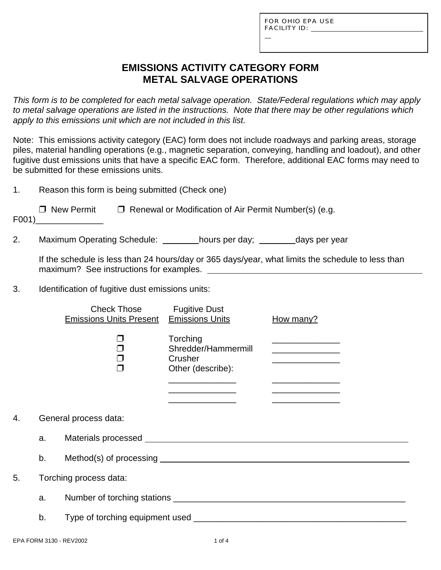L

## **EMISSIONS ACTIVITY CATEGORY FORM METAL SALVAGE OPERATIONS**

*This form is to be completed for each metal salvage operation. State/Federal regulations which may apply to metal salvage operations are listed in the instructions. Note that there may be other regulations which apply to this emissions unit which are not included in this list.*

Note: This emissions activity category (EAC) form does not include roadways and parking areas, storage piles, material handling operations (e.g., magnetic separation, conveying, handling and loadout), and other fugitive dust emissions units that have a specific EAC form. Therefore, additional EAC forms may need to be submitted for these emissions units.

1. Reason this form is being submitted (Check one)

| $\Box$ New Permit | $\Box$ Renewal or Modification of Air Permit Number(s) (e.g. |
|-------------------|--------------------------------------------------------------|
|-------------------|--------------------------------------------------------------|

F001)\_\_\_\_\_\_\_\_\_\_\_\_\_\_

2. Maximum Operating Schedule: hours per day; days per year

If the schedule is less than 24 hours/day or 365 days/year, what limits the schedule to less than maximum? See instructions for examples.

3. Identification of fugitive dust emissions units:

|    |                        | <b>Check Those</b><br><b>Emissions Units Present</b> Emissions Units | <b>Fugitive Dust</b>                                                                                                                                                                       | How many?                                                                                 |  |  |
|----|------------------------|----------------------------------------------------------------------|--------------------------------------------------------------------------------------------------------------------------------------------------------------------------------------------|-------------------------------------------------------------------------------------------|--|--|
|    |                        | ⊓                                                                    | Torching<br>Shredder/Hammermill<br>Crusher<br>Other (describe):<br><u> De Carlos de Carlos de Carlos de Carlos de Carlos de Carlos de Carlos de Carlos de Carlos de Carlos de Carlos d</u> | the control of the control of the control of the control of the control of the control of |  |  |
|    |                        |                                                                      |                                                                                                                                                                                            |                                                                                           |  |  |
| 4. |                        | General process data:                                                |                                                                                                                                                                                            |                                                                                           |  |  |
|    | a.                     |                                                                      |                                                                                                                                                                                            |                                                                                           |  |  |
|    | b.                     |                                                                      |                                                                                                                                                                                            |                                                                                           |  |  |
| 5. | Torching process data: |                                                                      |                                                                                                                                                                                            |                                                                                           |  |  |
|    | a.                     |                                                                      |                                                                                                                                                                                            |                                                                                           |  |  |
|    | b.                     |                                                                      |                                                                                                                                                                                            |                                                                                           |  |  |
|    |                        |                                                                      |                                                                                                                                                                                            |                                                                                           |  |  |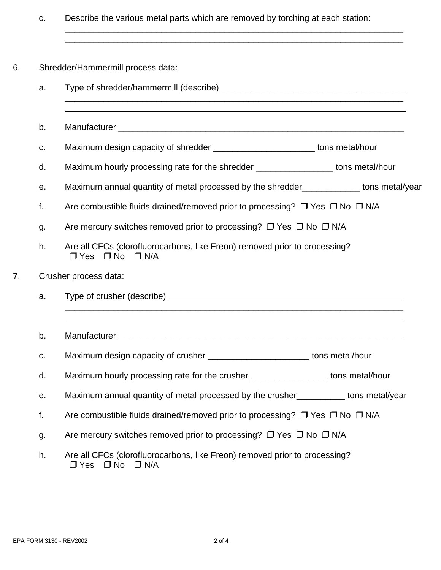c. Describe the various metal parts which are removed by torching at each station:

\_\_\_\_\_\_\_\_\_\_\_\_\_\_\_\_\_\_\_\_\_\_\_\_\_\_\_\_\_\_\_\_\_\_\_\_\_\_\_\_\_\_\_\_\_\_\_\_\_\_\_\_\_\_\_\_\_\_\_\_\_\_\_\_\_\_\_\_\_\_ \_\_\_\_\_\_\_\_\_\_\_\_\_\_\_\_\_\_\_\_\_\_\_\_\_\_\_\_\_\_\_\_\_\_\_\_\_\_\_\_\_\_\_\_\_\_\_\_\_\_\_\_\_\_\_\_\_\_\_\_\_\_\_\_\_\_\_\_\_\_

- 6. Shredder/Hammermill process data:
- a. Type of shredder/hammermill (describe) \_\_\_\_\_\_\_\_\_\_\_\_\_\_\_\_\_\_\_\_\_\_\_\_\_\_\_\_\_\_\_\_\_\_\_\_\_\_ \_\_\_\_\_\_\_\_\_\_\_\_\_\_\_\_\_\_\_\_\_\_\_\_\_\_\_\_\_\_\_\_\_\_\_\_\_\_\_\_\_\_\_\_\_\_\_\_\_\_\_\_\_\_\_\_\_\_\_\_\_\_\_\_\_\_\_\_\_\_  $\overline{a}$ b. Manufacturer \_\_\_\_\_\_\_\_\_\_\_\_\_\_\_\_\_\_\_\_\_\_\_\_\_\_\_\_\_\_\_\_\_\_\_\_\_\_\_\_\_\_\_\_\_\_\_\_\_\_\_\_\_\_\_\_\_\_\_ c. Maximum design capacity of shredder example to the state of the Maximum design capacity of shredder d. Maximum hourly processing rate for the shredder \_\_\_\_\_\_\_\_\_\_\_\_\_\_\_\_ tons metal/hour e. Maximum annual quantity of metal processed by the shredder\_\_\_\_\_\_\_\_\_\_\_\_ tons metal/year f. Are combustible fluids drained/removed prior to processing?  $\Box$  Yes  $\Box$  No  $\Box$  N/A g. Are mercury switches removed prior to processing?  $\Box$  Yes  $\Box$  No  $\Box$  N/A h. Are all CFCs (clorofluorocarbons, like Freon) removed prior to processing?  $\Box$  Yes  $\Box$  No  $\Box$  N/A 7. Crusher process data: a. Type of crusher (describe) \_\_\_\_\_\_\_\_\_\_\_\_\_\_\_\_\_\_\_\_\_\_\_\_\_\_\_\_\_\_\_\_\_\_\_\_\_\_\_\_\_\_\_\_\_\_\_\_\_\_\_\_\_\_\_\_\_\_\_\_\_\_\_\_\_\_\_\_\_\_  $\overline{a}$ b. Manufacturer \_\_\_\_\_\_\_\_\_\_\_\_\_\_\_\_\_\_\_\_\_\_\_\_\_\_\_\_\_\_\_\_\_\_\_\_\_\_\_\_\_\_\_\_\_\_\_\_\_\_\_\_\_\_\_\_\_\_\_ c. Maximum design capacity of crusher \_\_\_\_\_\_\_\_\_\_\_\_\_\_\_\_\_\_\_\_\_\_\_\_\_\_\_tons metal/hour d. Maximum hourly processing rate for the crusher **No. 1898** tons metal/hour e. Maximum annual quantity of metal processed by the crusher\_\_\_\_\_\_\_\_\_\_ tons metal/year f. Are combustible fluids drained/removed prior to processing?  $\Box$  Yes  $\Box$  No  $\Box$  N/A g. Are mercury switches removed prior to processing?  $\Box$  Yes  $\Box$  No  $\Box$  N/A h. Are all CFCs (clorofluorocarbons, like Freon) removed prior to processing?  $\Box$  Yes  $\Box$  No  $\Box$  N/A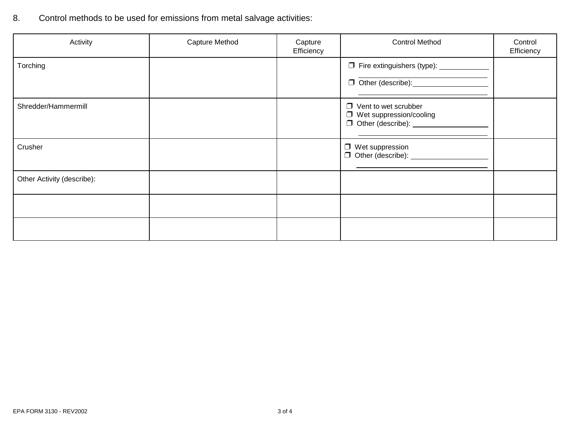8. Control methods to be used for emissions from metal salvage activities:

| Activity                   | Capture Method | Capture<br>Efficiency | <b>Control Method</b>                                                                                  | Control<br>Efficiency |
|----------------------------|----------------|-----------------------|--------------------------------------------------------------------------------------------------------|-----------------------|
| Torching                   |                |                       | □ Fire extinguishers (type): ____________                                                              |                       |
| Shredder/Hammermill        |                |                       | $\Box$ Vent to wet scrubber<br>$\Box$ Wet suppression/cooling<br>□ Other (describe): _________________ |                       |
| Crusher                    |                |                       | $\Box$ Wet suppression                                                                                 |                       |
| Other Activity (describe): |                |                       |                                                                                                        |                       |
|                            |                |                       |                                                                                                        |                       |
|                            |                |                       |                                                                                                        |                       |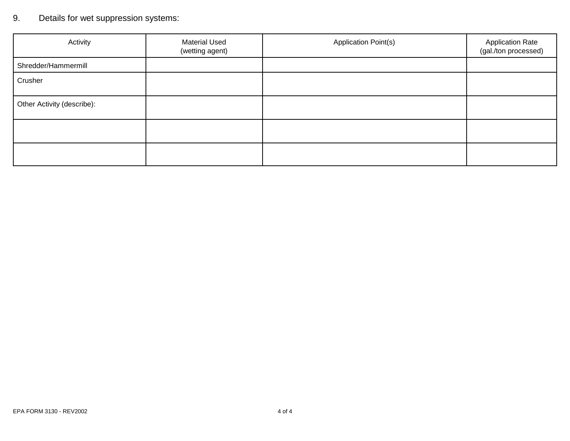# 9. Details for wet suppression systems:

| Activity                   | <b>Material Used</b><br>(wetting agent) | Application Point(s) | <b>Application Rate</b><br>(gal./ton processed) |
|----------------------------|-----------------------------------------|----------------------|-------------------------------------------------|
| Shredder/Hammermill        |                                         |                      |                                                 |
| Crusher                    |                                         |                      |                                                 |
| Other Activity (describe): |                                         |                      |                                                 |
|                            |                                         |                      |                                                 |
|                            |                                         |                      |                                                 |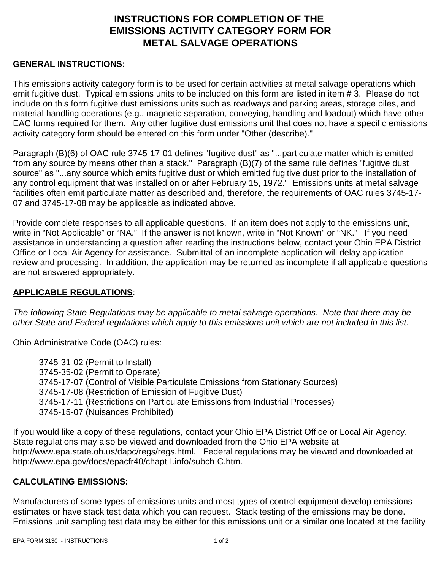## **INSTRUCTIONS FOR COMPLETION OF THE EMISSIONS ACTIVITY CATEGORY FORM FOR METAL SALVAGE OPERATIONS**

### **GENERAL INSTRUCTIONS:**

This emissions activity category form is to be used for certain activities at metal salvage operations which emit fugitive dust. Typical emissions units to be included on this form are listed in item # 3. Please do not include on this form fugitive dust emissions units such as roadways and parking areas, storage piles, and material handling operations (e.g., magnetic separation, conveying, handling and loadout) which have other EAC forms required for them. Any other fugitive dust emissions unit that does not have a specific emissions activity category form should be entered on this form under "Other (describe)."

Paragraph (B)(6) of OAC rule 3745-17-01 defines "fugitive dust" as "...particulate matter which is emitted from any source by means other than a stack." Paragraph (B)(7) of the same rule defines "fugitive dust source" as "...any source which emits fugitive dust or which emitted fugitive dust prior to the installation of any control equipment that was installed on or after February 15, 1972." Emissions units at metal salvage facilities often emit particulate matter as described and, therefore, the requirements of OAC rules 3745-17- 07 and 3745-17-08 may be applicable as indicated above.

Provide complete responses to all applicable questions. If an item does not apply to the emissions unit, write in "Not Applicable" or "NA." If the answer is not known, write in "Not Known" or "NK." If you need assistance in understanding a question after reading the instructions below, contact your Ohio EPA District Office or Local Air Agency for assistance. Submittal of an incomplete application will delay application review and processing. In addition, the application may be returned as incomplete if all applicable questions are not answered appropriately.

#### **APPLICABLE REGULATIONS**:

*The following State Regulations may be applicable to metal salvage operations. Note that there may be other State and Federal regulations which apply to this emissions unit which are not included in this list.*

Ohio Administrative Code (OAC) rules:

3745-31-02 (Permit to Install) 3745-35-02 (Permit to Operate) 3745-17-07 (Control of Visible Particulate Emissions from Stationary Sources) 3745-17-08 (Restriction of Emission of Fugitive Dust) 3745-17-11 (Restrictions on Particulate Emissions from Industrial Processes) 3745-15-07 (Nuisances Prohibited)

If you would like a copy of these regulations, contact your Ohio EPA District Office or Local Air Agency. State regulations may also be viewed and downloaded from the Ohio EPA website at http://www.epa.state.oh.us/dapc/regs/regs.html. Federal regulations may be viewed and downloaded at http://www.epa.gov/docs/epacfr40/chapt-I.info/subch-C.htm.

#### **CALCULATING EMISSIONS:**

Manufacturers of some types of emissions units and most types of control equipment develop emissions estimates or have stack test data which you can request. Stack testing of the emissions may be done. Emissions unit sampling test data may be either for this emissions unit or a similar one located at the facility